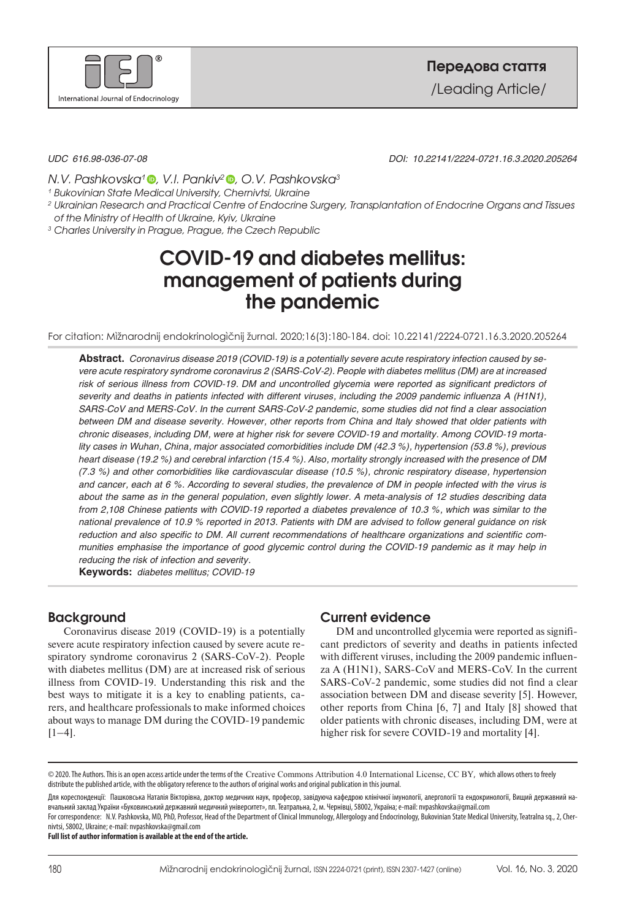

*UDC 616.98-036-07-08 DOI: 10.22141/2224-0721.16.3.2020.205264*

*N.V. Pashkovska[1 ,](https://orcid.org/0000-0002-9896-1744) V.I. Pankiv[2 ,](https://orcid.org/0000-0002-9205-9530) O.V. Pashkovska3*

*<sup>1</sup> Bukovinian State Medical University, Chernivtsi, Ukraine*

*2 Ukrainian Research and Practical Centre of Endocrine Surgery, Transplantation of Endocrine Organs and Tissues of the Ministry of Health of Ukraine, Kyiv, Ukraine*

*<sup>3</sup> Charles University in Prague, Prague, the Czech Republic*

# **COVID-19 and diabetes mellitus: management of patients during the pandemic**

For citation: Mìžnarodnij endokrinologìčnij žurnal. 2020;16(3):180-184. doi: 10.22141/2224-0721.16.3.2020.205264

**Abstract.**  *Coronavirus disease 2019 (COVID-19) is a potentially severe acute respiratory infection caused by severe acute respiratory syndrome coronavirus 2 (SARS-CoV-2). People with diabetes mellitus (DM) are at increased risk of serious illness from COVID-19. DM and uncontrolled glycemia were reported as significant predictors of severity and deaths in patients infected with different viruses, including the 2009 pandemic influenza A (H1N1), SARS-CoV and MERS-CoV. In the current SARS-CoV-2 pandemic, some studies did not find a clear association* between DM and disease severity. However, other reports from China and Italy showed that older patients with *chronic diseases, including DM, were at higher risk for severe COVID-19 and mortality. Among COVID-19 mortality cases in Wuhan, China, major associated comorbidities include DM (42.3 %), hypertension (53.8 %), previous* heart disease (19.2 %) and cerebral infarction (15.4 %). Also, mortality strongly increased with the presence of DM *(7.3 %) and other comorbidities like cardiovascular disease (10.5 %), chronic respiratory disease, hypertension* and cancer, each at 6 %. According to several studies, the prevalence of DM in people infected with the virus is about the same as in the general population, even slightly lower. A meta-analysis of 12 studies describing data from 2,108 Chinese patients with COVID-19 reported a diabetes prevalence of 10.3 %, which was similar to the national prevalence of 10.9 % reported in 2013. Patients with DM are advised to follow general quidance on risk *reduction and also specific to DM. All current recommendations of healthcare organizations and scientific communities emphasise the importance of good glycemic control during the COVID-19 pandemic as it may help in reducing the risk of infection and severity.*

**Keywords:**  *diabetes mellitus; COVID-19*

# **Background**

Coronavirus disease 2019 (COVID-19) is a potentially severe acute respiratory infection caused by severe acute respiratory syndrome coronavirus 2 (SARS-CoV-2). People with diabetes mellitus (DM) are at increased risk of serious illness from COVID-19. Understanding this risk and the best ways to mitigate it is a key to enabling patients, carers, and healthcare professionals to make informed choices about ways to manage DM during the COVID-19 pandemic [1–4].

# **Current evidence**

DM and uncontrolled glycemia were reported as significant predictors of severity and deaths in patients infected with different viruses, including the 2009 pandemic influenza A (H1N1), SARS-CoV and MERS-CoV. In the current SARS-CoV-2 pandemic, some studies did not find a clear association between DM and disease severity [5]. However, other reports from China [6, 7] and Italy [8] showed that older patients with chronic diseases, including DM, were at higher risk for severe COVID-19 and mortality [4].

Для кореспонденції: Пашковська Наталія Вікторівна, доктор медичних наук, професор, завідуюча кафедрою клінічної імунології, алергології та ендокринології, Вищий державний навчальний заклад України «Буковинський державний медичний університет», пл. Театральна, 2, м. Чернівці, 58002, Україна; е-mail: [nvpashkovska@gmail.com](http://mbox3.i.ua/compose/1218351698/?cto=qsTMks%2FGmp6vjqx8j5LCo8WJfX%2B8ow%3D%3D)

For correspondence: N.V. Pashkovska, MD, PhD, Professor, Head of the Department of Clinical Immunology, Allergology and Endocrinology, Bukovinian State Medical University, Teatralna sq., 2, Chernivtsi, 58002, Ukraine; е-mail: nvpashkovska@gmail.com

**Full list of author information is available at the end of the article.**

<sup>© 2020.</sup> The Authors. This is an open access article under the terms of the [Creative Commons Attribution 4.0 International License,](https://creativecommons.org/licenses/by/4.0/) CC BY, which allows others to freely distribute the published article, with the obligatory reference to the authors of original works and original publication in this journal.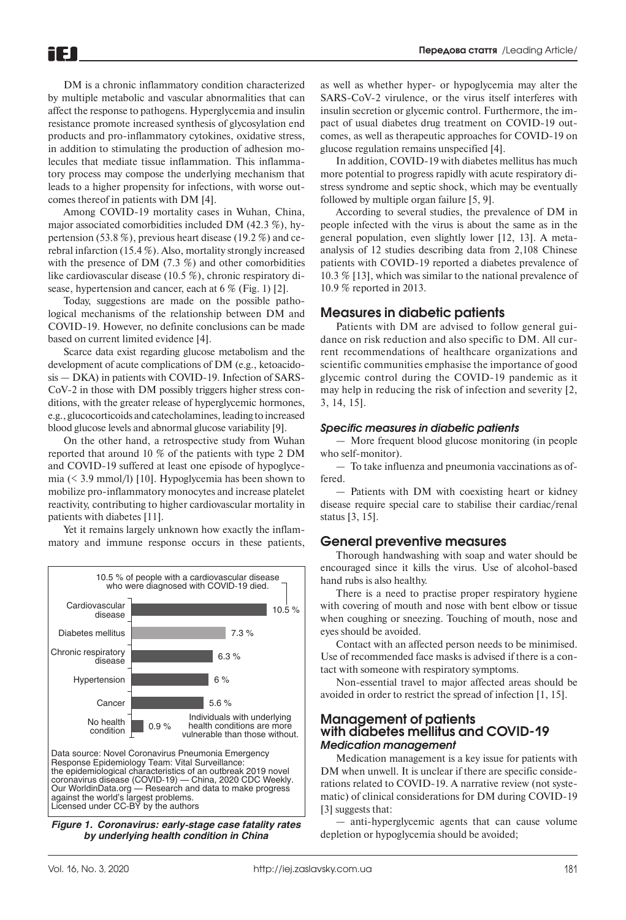DM is a chronic inflammatory condition characterized by multiple metabolic and vascular abnormalities that can affect the response to pathogens. Hyperglycemia and insulin resistance promote increased synthesis of glycosylation end products and pro-inflammatory cytokines, oxidative stress, in addition to stimulating the production of adhesion molecules that mediate tissue inflammation. This inflammatory process may compose the underlying mechanism that leads to a higher propensity for infections, with worse outcomes thereof in patients with DM [4].

iF 1

Among COVID-19 mortality cases in Wuhan, China, major associated comorbidities included DM (42.3 %), hypertension (53.8 %), previous heart disease (19.2 %) and cerebral infarction (15.4 %). Also, mortality strongly increased with the presence of DM (7.3 %) and other comorbidities like cardiovascular disease (10.5 %), chronic respiratory disease, hypertension and cancer, each at 6 % (Fig. 1) [2].

Today, suggestions are made on the possible pathological mechanisms of the relationship between DM and COVID-19. However, no definite conclusions can be made based on current limited evidence [4].

Scarce data exist regarding glucose metabolism and the development of acute complications of DM (e.g., ketoacidosis — DKA) in patients with COVID-19. Infection of SARS-CoV-2 in those with DM possibly triggers higher stress conditions, with the greater release of hyperglycemic hormones, e.g., glucocorticoids and catecholamines, leading to increased blood glucose levels and abnormal glucose variability [9].

On the other hand, a retrospective study from Wuhan reported that around 10 % of the patients with type 2 DM and COVID-19 suffered at least one episode of hypoglycemia (< 3.9 mmol/l) [10]. Hypoglycemia has been shown to mobilize pro-inflammatory monocytes and increase platelet reactivity, contributing to higher cardiovascular mortality in patients with diabetes [11].

Yet it remains largely unknown how exactly the inflammatory and immune response occurs in these patients,



*Figure 1. Coronavirus: early-stage case fatality rates by underlying health condition in China*

as well as whether hyper- or hypoglycemia may alter the SARS-CoV-2 virulence, or the virus itself interferes with insulin secretion or glycemic control. Furthermore, the impact of usual diabetes drug treatment on COVID-19 outcomes, as well as therapeutic approaches for COVID-19 on glucose regulation remains unspecified [4].

In addition, COVID-19 with diabetes mellitus has much more potential to progress rapidly with acute respiratory distress syndrome and septic shock, which may be eventually followed by multiple organ failure [5, 9].

According to several studies, the prevalence of DM in people infected with the virus is about the same as in the general population, even slightly lower [12, 13]. A metaanalysis of 12 studies describing data from 2,108 Chinese patients with COVID-19 reported a diabetes prevalence of 10.3 % [13], which was similar to the national prevalence of 10.9 % reported in 2013.

## **Measures in diabetic patients**

Patients with DM are advised to follow general guidance on risk reduction and also specific to DM. All current recommendations of healthcare organizations and scientific communities emphasise the importance of good glycemic control during the COVID-19 pandemic as it may help in reducing the risk of infection and severity [2, 3, 14, 15].

#### *Specific measures in diabetic patients*

— More frequent blood glucose monitoring (in people who self-monitor).

— To take influenza and pneumonia vaccinations as offered.

— Patients with DM with coexisting heart or kidney disease require special care to stabilise their cardiac/renal status [3, 15].

#### **General preventive measures**

Thorough handwashing with soap and water should be encouraged since it kills the virus. Use of alcohol-based hand rubs is also healthy.

There is a need to practise proper respiratory hygiene with covering of mouth and nose with bent elbow or tissue when coughing or sneezing. Touching of mouth, nose and eyes should be avoided.

Contact with an affected person needs to be minimised. Use of recommended face masks is advised if there is a contact with someone with respiratory symptoms.

Non-essential travel to major affected areas should be avoided in order to restrict the spread of infection [1, 15].

## **Management of patients with diabetes mellitus and COVID-19** *Medication management*

Medication management is a key issue for patients with DM when unwell. It is unclear if there are specific considerations related to COVID-19. A narrative review (not systematic) of clinical considerations for DM during COVID-19 [3] suggests that:

— anti-hyperglycemic agents that can cause volume depletion or hypoglycemia should be avoided;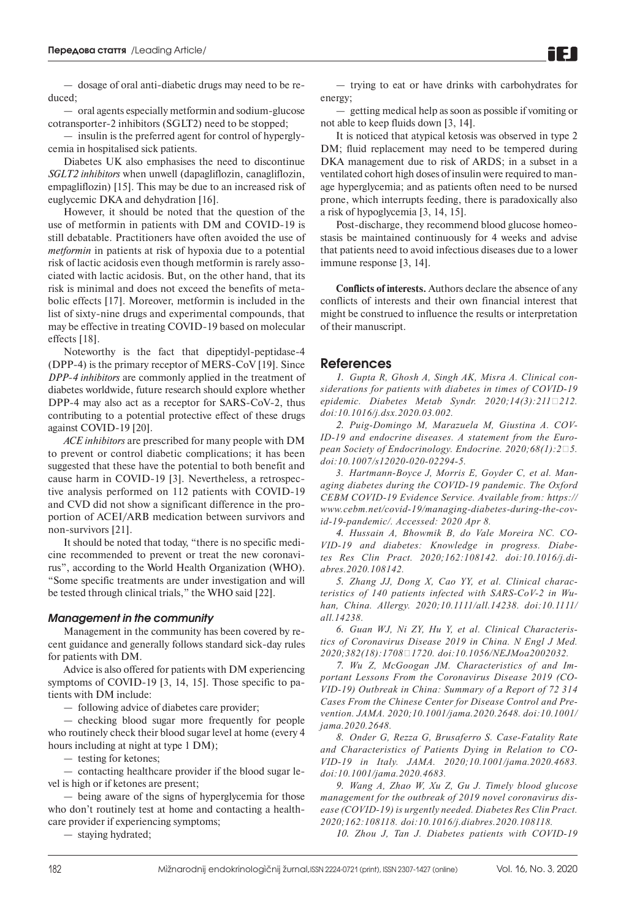— dosage of oral anti-diabetic drugs may need to be reduced;

— oral agents especially metformin and sodium-glucose cotransporter-2 inhibitors (SGLT2) need to be stopped;

— insulin is the preferred agent for control of hyperglycemia in hospitalised sick patients.

[Diabetes UK](https://www.diabetes.org.uk/about_us/news/coronavirus) also emphasises the need to discontinue *SGLT2 inhibitors* when unwell (dapagliflozin, canagliflozin, empagliflozin) [15]. This may be due to an increased risk of euglycemic DKA and dehydration [16].

However, it should be noted that the question of the use of metformin in patients with DM and СOVID-19 is still debatable. Practitioners have often avoided the use of *metformin* in patients at risk of hypoxia due to a potential risk of lactic acidosis even though metformin is rarely associated with lactic acidosis. But, on the other hand, that its risk is minimal and does not exceed the benefits of metabolic effects [17]. Moreover, metformin is included in the list of sixty-nine drugs and experimental compounds, that may be effective in treating COVID-19 based on molecular effects [18].

Noteworthy is the fact that dipeptidyl-peptidase-4 (DPP-4) is the primary receptor of MERS-CoV [19]. Since *DPP-4 inhibitors* are commonly applied in the treatment of diabetes worldwide, future research should explore whether DPP-4 may also act as a receptor for SARS-CoV-2, thus contributing to a potential protective effect of these drugs against COVID-19 [20].

*ACE inhibitors* are prescribed for many people with DM to prevent or control diabetic complications; it has been suggested that these have the potential to both benefit and cause harm in COVID-19 [3]. Nevertheless, a retrospective analysis performed on 112 patients with COVID-19 and CVD did not show a significant difference in the proportion of ACEI/ARB medication between survivors and non-survivors [21].

It should be noted that today, "there is no specific medicine recommended to prevent or treat the new coronavirus", according to the World Health Organization (WHO). "Some specific treatments are under investigation and will be tested through clinical trials," the WHO said [22].

#### *Management in the community*

Management in the community has been covered by recent guidance and generally follows standard sick-day rules for patients with DM.

Advice is also offered for patients with DM experiencing symptoms of COVID-19 [3, 14, 15]. Those specific to patients with DM include:

— following advice of diabetes care provider;

— checking blood sugar more frequently for people who routinely check their blood sugar level at home (every 4 hours including at night at type 1 DM);

— testing for ketones;

— contacting healthcare provider if the blood sugar level is high or if ketones are present;

— being aware of the signs of hyperglycemia for those who don't routinely test at home and contacting a healthcare provider if experiencing symptoms;

— staying hydrated;

— trying to eat or have drinks with carbohydrates for energy;

— getting medical help as soon as possible if vomiting or not able to keep fluids down [3, 14].

It is noticed that atypical ketosis was observed in type 2 DM; fluid replacement may need to be tempered during DKA management due to risk of ARDS; in a subset in a ventilated cohort high doses of insulin were required to manage hyperglycemia; and as patients often need to be nursed prone, which interrupts feeding, there is paradoxically also a risk of hypoglycemia [3, 14, 15].

Post-discharge, they recommend blood glucose homeostasis be maintained continuously for 4 weeks and advise that patients need to avoid infectious diseases due to a lower immune response [3, 14].

**Conflicts of interests.** Authors declare the absence of any conflicts of interests and their own financial interest that might be construed to influence the results or interpretation of their manuscript.

## **References**

*1. [Gupta R, Ghosh A, Singh AK, Misra A. Clinical con](https://pubmed.ncbi.nlm.nih.gov/32172175/?from_term=Clinical+considerations+for+patients+with+diabetes+in+times+of+COVID-19+epidemic&from_pos=1)[siderations for patients with diabetes in times of COVID-19](https://pubmed.ncbi.nlm.nih.gov/32172175/?from_term=Clinical+considerations+for+patients+with+diabetes+in+times+of+COVID-19+epidemic&from_pos=1)*  epidemic. Diabetes Metab Syndr. 2020;14(3):211□212. *[doi:10.1016/j.dsx.2020.03.002.](https://pubmed.ncbi.nlm.nih.gov/32172175/?from_term=Clinical+considerations+for+patients+with+diabetes+in+times+of+COVID-19+epidemic&from_pos=1)*

*2. [Puig-Domingo M, Marazuela M, Giustina A. COV-](https://pubmed.ncbi.nlm.nih.gov/32279224/?from_single_result=COVID-19+and+endocrine+diseases.+A+statement+from+the+European+Society+of+Endocrinology&expanded_search_query=COVID-19+and+endocrine+diseases.+A+statement+from+the+European+Society+of+Endocrinology)[ID-19 and endocrine diseases. A statement from the Euro](https://pubmed.ncbi.nlm.nih.gov/32279224/?from_single_result=COVID-19+and+endocrine+diseases.+A+statement+from+the+European+Society+of+Endocrinology&expanded_search_query=COVID-19+and+endocrine+diseases.+A+statement+from+the+European+Society+of+Endocrinology)pean Society of Endocrinology. Endocrine. 2020;68(1):2*□5. *[doi:10.1007/s12020-020-02294-5.](https://pubmed.ncbi.nlm.nih.gov/32279224/?from_single_result=COVID-19+and+endocrine+diseases.+A+statement+from+the+European+Society+of+Endocrinology&expanded_search_query=COVID-19+and+endocrine+diseases.+A+statement+from+the+European+Society+of+Endocrinology)*

*3. Hartmann-Boyce J, Morris E, Goyder C, et al. Managing diabetes during the COVID-19 pandemic. The Oxford CEBM COVID-19 Evidence Service. Available from: [https://](https://www.cebm.net/covid-19/managing-diabetes-during-the-covid-19-pandemic/) [www.cebm.net/covid-19/managing-diabetes-during-the-cov](https://www.cebm.net/covid-19/managing-diabetes-during-the-covid-19-pandemic/)[id-19-pandemic/.](https://www.cebm.net/covid-19/managing-diabetes-during-the-covid-19-pandemic/) Accessed: 2020 Apr 8.*

*4. [Hussain A, Bhowmik B, do Vale Moreira NC. CO-](https://pubmed.ncbi.nlm.nih.gov/32278764/?from_term=COVID-19+and+Diabetes%3A+Knowledge+in+Progress+%5B&from_pos=1)[VID-19 and diabetes: Knowledge in progress. Diabe](https://pubmed.ncbi.nlm.nih.gov/32278764/?from_term=COVID-19+and+Diabetes%3A+Knowledge+in+Progress+%5B&from_pos=1)[tes Res Clin Pract. 2020;162:108142. doi:10.1016/j.di](https://pubmed.ncbi.nlm.nih.gov/32278764/?from_term=COVID-19+and+Diabetes%3A+Knowledge+in+Progress+%5B&from_pos=1)[abres.2020.108142.](https://pubmed.ncbi.nlm.nih.gov/32278764/?from_term=COVID-19+and+Diabetes%3A+Knowledge+in+Progress+%5B&from_pos=1)*

*5. [Zhang JJ, Dong X, Cao YY, et al. Clinical charac](https://pubmed.ncbi.nlm.nih.gov/32077115/?from_term=.+Clinical+characteristics+of+140+patients+infected+with+SARS-CoV-2+in+Wuhan&from_pos=1)[teristics of 140 patients infected with SARS-CoV-2 in Wu](https://pubmed.ncbi.nlm.nih.gov/32077115/?from_term=.+Clinical+characteristics+of+140+patients+infected+with+SARS-CoV-2+in+Wuhan&from_pos=1)[han, China. Allergy. 2020;10.1111/all.14238. doi:10.1111/](https://pubmed.ncbi.nlm.nih.gov/32077115/?from_term=.+Clinical+characteristics+of+140+patients+infected+with+SARS-CoV-2+in+Wuhan&from_pos=1) [all.14238.](https://pubmed.ncbi.nlm.nih.gov/32077115/?from_term=.+Clinical+characteristics+of+140+patients+infected+with+SARS-CoV-2+in+Wuhan&from_pos=1)*

*6. Guan WJ, Ni ZY, Hu Y, et al. Clinical Characteristics of Coronavirus Disease 2019 in China. N Engl J Med. 2020;382(18):1708‐1720. doi:10.1056/NEJMoa2002032.*

*7. [Wu Z, McGoogan JM. Characteristics of and Im](https://pubmed.ncbi.nlm.nih.gov/32091533/?from_single_result=Characteristics+of+and+Important+Lessons+from+the+Coronavirus+Disease+2019+%28COVID-19%29+Outbreak+in+China%3A+Summary+of+a+Report+of+72+314+Cases+From+the+Chinese+Center+for+Disease+Control+and+Prevention&expanded_search_query=Characteristics+of+and+Important+Lessons+from+the+Coronavirus+Disease+2019+%28COVID-19%29+Outbreak+in+China%3A+Summary+of+a+Report+of+72+314+Cases+From+the+Chinese+Center+for+Disease+Control+and+Prevention)[portant Lessons From the Coronavirus Disease 2019 \(CO-](https://pubmed.ncbi.nlm.nih.gov/32091533/?from_single_result=Characteristics+of+and+Important+Lessons+from+the+Coronavirus+Disease+2019+%28COVID-19%29+Outbreak+in+China%3A+Summary+of+a+Report+of+72+314+Cases+From+the+Chinese+Center+for+Disease+Control+and+Prevention&expanded_search_query=Characteristics+of+and+Important+Lessons+from+the+Coronavirus+Disease+2019+%28COVID-19%29+Outbreak+in+China%3A+Summary+of+a+Report+of+72+314+Cases+From+the+Chinese+Center+for+Disease+Control+and+Prevention)[VID-19\) Outbreak in China: Summary of a Report of 72](https://pubmed.ncbi.nlm.nih.gov/32091533/?from_single_result=Characteristics+of+and+Important+Lessons+from+the+Coronavirus+Disease+2019+%28COVID-19%29+Outbreak+in+China%3A+Summary+of+a+Report+of+72+314+Cases+From+the+Chinese+Center+for+Disease+Control+and+Prevention&expanded_search_query=Characteristics+of+and+Important+Lessons+from+the+Coronavirus+Disease+2019+%28COVID-19%29+Outbreak+in+China%3A+Summary+of+a+Report+of+72+314+Cases+From+the+Chinese+Center+for+Disease+Control+and+Prevention) 314 [Cases From the Chinese Center for Disease Control and Pre](https://pubmed.ncbi.nlm.nih.gov/32091533/?from_single_result=Characteristics+of+and+Important+Lessons+from+the+Coronavirus+Disease+2019+%28COVID-19%29+Outbreak+in+China%3A+Summary+of+a+Report+of+72+314+Cases+From+the+Chinese+Center+for+Disease+Control+and+Prevention&expanded_search_query=Characteristics+of+and+Important+Lessons+from+the+Coronavirus+Disease+2019+%28COVID-19%29+Outbreak+in+China%3A+Summary+of+a+Report+of+72+314+Cases+From+the+Chinese+Center+for+Disease+Control+and+Prevention)[vention. JAMA. 2020;10.1001/jama.2020.2648. doi:10.1001/](https://pubmed.ncbi.nlm.nih.gov/32091533/?from_single_result=Characteristics+of+and+Important+Lessons+from+the+Coronavirus+Disease+2019+%28COVID-19%29+Outbreak+in+China%3A+Summary+of+a+Report+of+72+314+Cases+From+the+Chinese+Center+for+Disease+Control+and+Prevention&expanded_search_query=Characteristics+of+and+Important+Lessons+from+the+Coronavirus+Disease+2019+%28COVID-19%29+Outbreak+in+China%3A+Summary+of+a+Report+of+72+314+Cases+From+the+Chinese+Center+for+Disease+Control+and+Prevention) [jama.2020.2648.](https://pubmed.ncbi.nlm.nih.gov/32091533/?from_single_result=Characteristics+of+and+Important+Lessons+from+the+Coronavirus+Disease+2019+%28COVID-19%29+Outbreak+in+China%3A+Summary+of+a+Report+of+72+314+Cases+From+the+Chinese+Center+for+Disease+Control+and+Prevention&expanded_search_query=Characteristics+of+and+Important+Lessons+from+the+Coronavirus+Disease+2019+%28COVID-19%29+Outbreak+in+China%3A+Summary+of+a+Report+of+72+314+Cases+From+the+Chinese+Center+for+Disease+Control+and+Prevention)*

*8. [Onder G, Rezza G, Brusaferro S. Case-Fatality Rate](https://pubmed.ncbi.nlm.nih.gov/32203977/?from_single_result=Case-Fatality+Rate+and+Characteristics+of+Patients+Dying+in+Relation+to+COVID-19+in+Italy&expanded_search_query=Case-Fatality+Rate+and+Characteristics+of+Patients+Dying+in+Relation+to+COVID-19+in+Italy)  [and Characteristics of Patients Dying in Relation to CO-](https://pubmed.ncbi.nlm.nih.gov/32203977/?from_single_result=Case-Fatality+Rate+and+Characteristics+of+Patients+Dying+in+Relation+to+COVID-19+in+Italy&expanded_search_query=Case-Fatality+Rate+and+Characteristics+of+Patients+Dying+in+Relation+to+COVID-19+in+Italy)[VID-19 in Italy. JAMA. 2020;10.1001/jama.2020.4683.](https://pubmed.ncbi.nlm.nih.gov/32203977/?from_single_result=Case-Fatality+Rate+and+Characteristics+of+Patients+Dying+in+Relation+to+COVID-19+in+Italy&expanded_search_query=Case-Fatality+Rate+and+Characteristics+of+Patients+Dying+in+Relation+to+COVID-19+in+Italy)  [doi:10.1001/jama.2020.4683.](https://pubmed.ncbi.nlm.nih.gov/32203977/?from_single_result=Case-Fatality+Rate+and+Characteristics+of+Patients+Dying+in+Relation+to+COVID-19+in+Italy&expanded_search_query=Case-Fatality+Rate+and+Characteristics+of+Patients+Dying+in+Relation+to+COVID-19+in+Italy)*

*9. [Wang A, Zhao W, Xu Z, Gu J. Timely blood glucose](https://pubmed.ncbi.nlm.nih.gov/32179126/?from_single_result=Timely+blood+glucose+management+for+the+outbreak+of+2019+novel+coronavirus+disease+%28COVID-19%29+is+urgently+needed&expanded_search_query=Timely+blood+glucose+management+for+the+outbreak+of+2019+novel+coronavirus+disease+%28COVID-19%29+is+urgently+needed)  [management for the outbreak of 2019 novel coronavirus dis](https://pubmed.ncbi.nlm.nih.gov/32179126/?from_single_result=Timely+blood+glucose+management+for+the+outbreak+of+2019+novel+coronavirus+disease+%28COVID-19%29+is+urgently+needed&expanded_search_query=Timely+blood+glucose+management+for+the+outbreak+of+2019+novel+coronavirus+disease+%28COVID-19%29+is+urgently+needed)[ease \(COVID-19\) is urgently needed. Diabetes Res Clin Pract.](https://pubmed.ncbi.nlm.nih.gov/32179126/?from_single_result=Timely+blood+glucose+management+for+the+outbreak+of+2019+novel+coronavirus+disease+%28COVID-19%29+is+urgently+needed&expanded_search_query=Timely+blood+glucose+management+for+the+outbreak+of+2019+novel+coronavirus+disease+%28COVID-19%29+is+urgently+needed)  [2020;162:108118. doi:10.1016/j.diabres.2020.108118.](https://pubmed.ncbi.nlm.nih.gov/32179126/?from_single_result=Timely+blood+glucose+management+for+the+outbreak+of+2019+novel+coronavirus+disease+%28COVID-19%29+is+urgently+needed&expanded_search_query=Timely+blood+glucose+management+for+the+outbreak+of+2019+novel+coronavirus+disease+%28COVID-19%29+is+urgently+needed)*

*10. [Zhou J, Tan J. Diabetes patients with COVID-19](https://pubmed.ncbi.nlm.nih.gov/32220612/?from_single_result=Diabetes+patients+with+COVID-19+need+better+blood+glucose+management+in+Wuhan%2C+China&expanded_search_query=Diabetes+patients+with+COVID-19+need+better+blood+glucose+management+in+Wuhan%2C+China)*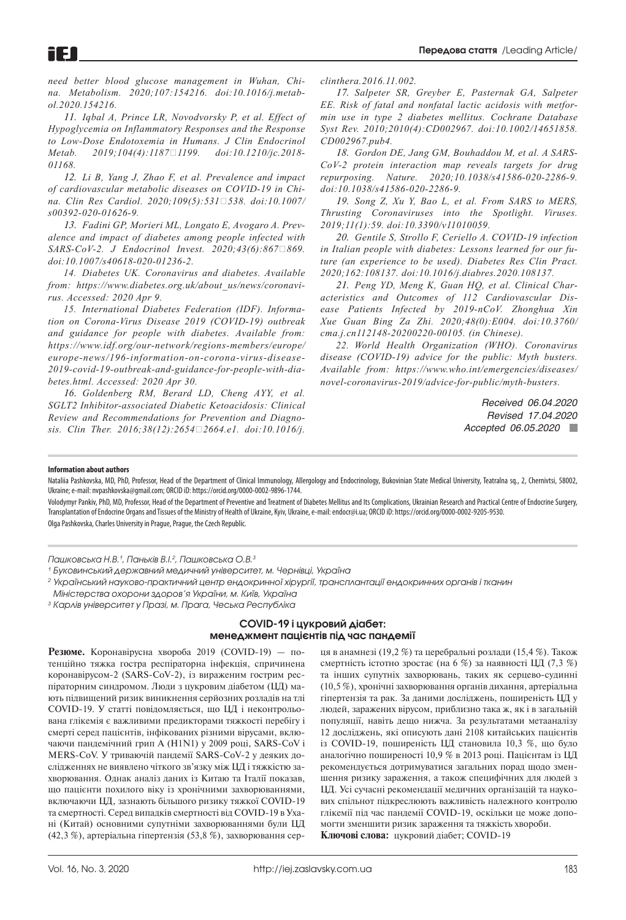*[need better blood glucose management in Wuhan, Chi](https://pubmed.ncbi.nlm.nih.gov/32220612/?from_single_result=Diabetes+patients+with+COVID-19+need+better+blood+glucose+management+in+Wuhan%2C+China&expanded_search_query=Diabetes+patients+with+COVID-19+need+better+blood+glucose+management+in+Wuhan%2C+China)[na. Metabolism. 2020;107:154216. doi:10.1016/j.metab](https://pubmed.ncbi.nlm.nih.gov/32220612/?from_single_result=Diabetes+patients+with+COVID-19+need+better+blood+glucose+management+in+Wuhan%2C+China&expanded_search_query=Diabetes+patients+with+COVID-19+need+better+blood+glucose+management+in+Wuhan%2C+China)[ol.2020.154216.](https://pubmed.ncbi.nlm.nih.gov/32220612/?from_single_result=Diabetes+patients+with+COVID-19+need+better+blood+glucose+management+in+Wuhan%2C+China&expanded_search_query=Diabetes+patients+with+COVID-19+need+better+blood+glucose+management+in+Wuhan%2C+China)*

*11. Iqbal A, Prince LR, Novodvorsky P, et al. Effect of Hypoglycemia on Inflammatory Responses and the Response to Low-Dose Endotoxemia in Humans. J Clin Endocrinol Metab. 2019;104(4):1187‐1199. doi:10.1210/jc.2018- 01168.*

*12. [Li B, Yang J, Zhao F, et al. Prevalence and impact](https://pubmed.ncbi.nlm.nih.gov/32161990/?from_single_result=Prevalence+and+impact+of+cardiovascular+metabolic+diseases+on+COVID-19+in+China&expanded_search_query=Prevalence+and+impact+of+cardiovascular+metabolic+diseases+on+COVID-19+in+China) [of cardiovascular metabolic diseases on COVID-19 in Chi](https://pubmed.ncbi.nlm.nih.gov/32161990/?from_single_result=Prevalence+and+impact+of+cardiovascular+metabolic+diseases+on+COVID-19+in+China&expanded_search_query=Prevalence+and+impact+of+cardiovascular+metabolic+diseases+on+COVID-19+in+China)[na. Clin Res Cardiol. 2020;109\(5\):531‐538. doi:10.1007/](https://pubmed.ncbi.nlm.nih.gov/32161990/?from_single_result=Prevalence+and+impact+of+cardiovascular+metabolic+diseases+on+COVID-19+in+China&expanded_search_query=Prevalence+and+impact+of+cardiovascular+metabolic+diseases+on+COVID-19+in+China) [s00392-020-01626-9.](https://pubmed.ncbi.nlm.nih.gov/32161990/?from_single_result=Prevalence+and+impact+of+cardiovascular+metabolic+diseases+on+COVID-19+in+China&expanded_search_query=Prevalence+and+impact+of+cardiovascular+metabolic+diseases+on+COVID-19+in+China)*

*13. [Fadini GP, Morieri ML, Longato E, Avogaro A. Prev](https://pubmed.ncbi.nlm.nih.gov/32222956/?from_term=Prevalence+and+impact+of+diabetes+among+people+infected+with+SARS-CoV-2&from_pos=1)[alence and impact of diabetes among people infected with](https://pubmed.ncbi.nlm.nih.gov/32222956/?from_term=Prevalence+and+impact+of+diabetes+among+people+infected+with+SARS-CoV-2&from_pos=1)*   $SARS-CoV-2.$  *J Endocrinol Invest. 2020;43(6):867*□869. *[doi:10.1007/s40618-020-01236-2.](https://pubmed.ncbi.nlm.nih.gov/32222956/?from_term=Prevalence+and+impact+of+diabetes+among+people+infected+with+SARS-CoV-2&from_pos=1)*

*14. Diabetes UK. Coronavirus and diabetes. Available from: [https://www.diabetes.org.uk/about\\_us/news/coronavi](https://www.diabetes.org.uk/about_us/news/coronavirus)[rus](https://www.diabetes.org.uk/about_us/news/coronavirus). Accessed: 2020 Apr 9.*

*15. International Diabetes Federation (IDF). Information on Corona-Virus Disease 2019 (COVID-19) outbreak and guidance for people with diabetes. Available from: [https://www.idf.org/our-network/regions-members/europe/](https://www.idf.org/our-network/regions-members/europe/europe-news/196-information-on-corona-virus-disease-2019-covid-19-outbreak-and-guidance-for-people-with-diabetes.html) [europe-news/196-information-on-corona-virus-disease-](https://www.idf.org/our-network/regions-members/europe/europe-news/196-information-on-corona-virus-disease-2019-covid-19-outbreak-and-guidance-for-people-with-diabetes.html)[2019-covid-19-outbreak-and-guidance-for-people-with-dia](https://www.idf.org/our-network/regions-members/europe/europe-news/196-information-on-corona-virus-disease-2019-covid-19-outbreak-and-guidance-for-people-with-diabetes.html)[betes.html.](https://www.idf.org/our-network/regions-members/europe/europe-news/196-information-on-corona-virus-disease-2019-covid-19-outbreak-and-guidance-for-people-with-diabetes.html) Accessed: 2020 Apr 30.*

*16. Goldenberg RM, Berard LD, Cheng AYY, et al. SGLT2 Inhibitor-associated Diabetic Ketoacidosis: Clinical Review and Recommendations for Prevention and Diagnosis. Clin Ther. 2016;38(12):2654‐2664.e1. doi:10.1016/j.*

*clinthera.2016.11.002.*

*17. [Salpeter SR, Greyber E, Pasternak GA, Salpeter](https://pubmed.ncbi.nlm.nih.gov/20393934/?from_term=.+Risk+of+fatal+and+nonfatal+lactic+acidosis+with+metformin+use+in+type+2+diabetes+mellitus.+&from_pos=1)  [EE. Risk of fatal and nonfatal lactic acidosis with metfor](https://pubmed.ncbi.nlm.nih.gov/20393934/?from_term=.+Risk+of+fatal+and+nonfatal+lactic+acidosis+with+metformin+use+in+type+2+diabetes+mellitus.+&from_pos=1)[min use in type 2 diabetes mellitus. Cochrane Database](https://pubmed.ncbi.nlm.nih.gov/20393934/?from_term=.+Risk+of+fatal+and+nonfatal+lactic+acidosis+with+metformin+use+in+type+2+diabetes+mellitus.+&from_pos=1)  [Syst Rev. 2010;2010\(4\):CD002967. doi:10.1002/14651858.](https://pubmed.ncbi.nlm.nih.gov/20393934/?from_term=.+Risk+of+fatal+and+nonfatal+lactic+acidosis+with+metformin+use+in+type+2+diabetes+mellitus.+&from_pos=1) [CD002967.pub4.](https://pubmed.ncbi.nlm.nih.gov/20393934/?from_term=.+Risk+of+fatal+and+nonfatal+lactic+acidosis+with+metformin+use+in+type+2+diabetes+mellitus.+&from_pos=1)*

*18. [Gordon DE, Jang GM, Bouhaddou M, et al. A SARS-](https://pubmed.ncbi.nlm.nih.gov/32353859/?from_single_result=A+SARS-CoV-2-Human+Protein-Protein+Interaction+Map+Reveals+Drug+Targets+and+Potential+Drug-Repurposing&expanded_search_query=A+SARS-CoV-2-Human+Protein-Protein+Interaction+Map+Reveals+Drug+Targets+and+Potential+Drug-Repurposing)[CoV-2 protein interaction map reveals targets for drug](https://pubmed.ncbi.nlm.nih.gov/32353859/?from_single_result=A+SARS-CoV-2-Human+Protein-Protein+Interaction+Map+Reveals+Drug+Targets+and+Potential+Drug-Repurposing&expanded_search_query=A+SARS-CoV-2-Human+Protein-Protein+Interaction+Map+Reveals+Drug+Targets+and+Potential+Drug-Repurposing)  [repurposing. Nature. 2020;10.1038/s41586-020-2286-9.](https://pubmed.ncbi.nlm.nih.gov/32353859/?from_single_result=A+SARS-CoV-2-Human+Protein-Protein+Interaction+Map+Reveals+Drug+Targets+and+Potential+Drug-Repurposing&expanded_search_query=A+SARS-CoV-2-Human+Protein-Protein+Interaction+Map+Reveals+Drug+Targets+and+Potential+Drug-Repurposing)  [doi:10.1038/s41586-020-2286-9.](https://pubmed.ncbi.nlm.nih.gov/32353859/?from_single_result=A+SARS-CoV-2-Human+Protein-Protein+Interaction+Map+Reveals+Drug+Targets+and+Potential+Drug-Repurposing&expanded_search_query=A+SARS-CoV-2-Human+Protein-Protein+Interaction+Map+Reveals+Drug+Targets+and+Potential+Drug-Repurposing)*

*19. [Song Z, Xu Y, Bao L, et al. From SARS to MERS,](https://pubmed.ncbi.nlm.nih.gov/30646565/?from_term=From+SARS+to+MERS%2C+thrusting+coronaviruses+into+the+spotlight&from_pos=1)  [Thrusting Coronaviruses into the Spotlight. Viruses.](https://pubmed.ncbi.nlm.nih.gov/30646565/?from_term=From+SARS+to+MERS%2C+thrusting+coronaviruses+into+the+spotlight&from_pos=1)  [2019;11\(1\):59. doi:10.3390/v11010059.](https://pubmed.ncbi.nlm.nih.gov/30646565/?from_term=From+SARS+to+MERS%2C+thrusting+coronaviruses+into+the+spotlight&from_pos=1)*

*20. [Gentile S, Strollo F, Ceriello A. COVID-19 infection](https://pubmed.ncbi.nlm.nih.gov/32259611/?from_single_result=COVID-19+Infection+in+italian+people+with+diabetes%3A+lessons+learned+for+our+future+%28an+experience+to+be+used%29&expanded_search_query=COVID-19+Infection+in+italian+people+with+diabetes%3A+lessons+learned+for+our+future+%28an+experience+to+be+used%29)  [in Italian people with diabetes: Lessons learned for our fu](https://pubmed.ncbi.nlm.nih.gov/32259611/?from_single_result=COVID-19+Infection+in+italian+people+with+diabetes%3A+lessons+learned+for+our+future+%28an+experience+to+be+used%29&expanded_search_query=COVID-19+Infection+in+italian+people+with+diabetes%3A+lessons+learned+for+our+future+%28an+experience+to+be+used%29)[ture \(an experience to be used\). Diabetes Res Clin Pract.](https://pubmed.ncbi.nlm.nih.gov/32259611/?from_single_result=COVID-19+Infection+in+italian+people+with+diabetes%3A+lessons+learned+for+our+future+%28an+experience+to+be+used%29&expanded_search_query=COVID-19+Infection+in+italian+people+with+diabetes%3A+lessons+learned+for+our+future+%28an+experience+to+be+used%29)  [2020;162:108137. doi:10.1016/j.diabres.2020.108137.](https://pubmed.ncbi.nlm.nih.gov/32259611/?from_single_result=COVID-19+Infection+in+italian+people+with+diabetes%3A+lessons+learned+for+our+future+%28an+experience+to+be+used%29&expanded_search_query=COVID-19+Infection+in+italian+people+with+diabetes%3A+lessons+learned+for+our+future+%28an+experience+to+be+used%29)*

*21. [Peng YD, Meng K, Guan HQ, et al. Clinical Char](https://pubmed.ncbi.nlm.nih.gov/32120458/?from_single_result=Clinical+characteristics+and+outcomes+of+112+cardiovascular+disease+patients+infected+by+2019-nCoV&expanded_search_query=Clinical+characteristics+and+outcomes+of+112+cardiovascular+disease+patients+infected+by+2019-nCoV)[acteristics and Outcomes of 112 Cardiovascular Dis](https://pubmed.ncbi.nlm.nih.gov/32120458/?from_single_result=Clinical+characteristics+and+outcomes+of+112+cardiovascular+disease+patients+infected+by+2019-nCoV&expanded_search_query=Clinical+characteristics+and+outcomes+of+112+cardiovascular+disease+patients+infected+by+2019-nCoV)[ease Patients Infected by 2019-nCoV. Zhonghua Xin](https://pubmed.ncbi.nlm.nih.gov/32120458/?from_single_result=Clinical+characteristics+and+outcomes+of+112+cardiovascular+disease+patients+infected+by+2019-nCoV&expanded_search_query=Clinical+characteristics+and+outcomes+of+112+cardiovascular+disease+patients+infected+by+2019-nCoV)  [Xue Guan Bing Za Zhi. 2020;48\(0\):E004. doi:10.3760/](https://pubmed.ncbi.nlm.nih.gov/32120458/?from_single_result=Clinical+characteristics+and+outcomes+of+112+cardiovascular+disease+patients+infected+by+2019-nCoV&expanded_search_query=Clinical+characteristics+and+outcomes+of+112+cardiovascular+disease+patients+infected+by+2019-nCoV) [cma.j.cn112148-20200220-00105. \(in Chinese\).](https://pubmed.ncbi.nlm.nih.gov/32120458/?from_single_result=Clinical+characteristics+and+outcomes+of+112+cardiovascular+disease+patients+infected+by+2019-nCoV&expanded_search_query=Clinical+characteristics+and+outcomes+of+112+cardiovascular+disease+patients+infected+by+2019-nCoV)*

*22. World Health Organization (WHO). Coronavirus disease (COVID-19) advice for the public: Myth busters. Available from: [https://www.who.int/emergencies/diseases/](https://www.who.int/emergencies/diseases/novel-coronavirus-2019/advice-for-public/myth-busters) [novel-coronavirus-2019/advice-for-public/myth-busters.](https://www.who.int/emergencies/diseases/novel-coronavirus-2019/advice-for-public/myth-busters)*

> *Received 06.04.2020 Revised 17.04.2020 Accepted 06.05.2020*

#### **Information about authors**

Nataliia Pashkovska, MD, PhD, Professor, Head of the Department of Clinical Immunology, Allergology and Endocrinology, Bukovinian State Medical University, Teatralna sq., 2, Chernivtsi, 58002, Ukraine; е-mail: [nvpashkovska@gmail.com](mailto:nvpashkovska@gmail.com); ORCID iD: [https://orcid.org/00](https://orcid.org/0)00-0002-9896-1744.

Volodymyr Pankiv, PhD, MD, Professor, Head of the Department of Preventive and Treatment of Diabetes Mellitus and Its Complications, Ukrainian Research and Practical Centre of Endocrine Surgery, Transplantation of Endocrine Organs and Tissues of the Ministry of Health of Ukraine, Kyiv, Ukraine, e-mail: [endocr@i.ua;](mailto:endocr@i.ua ) ORCID iD: <https://orcid.org/0>000-0002-9205-9530. Olga Pashkovska, Charles University in Prague, Prague, the Czech Republic.

*Пашковська Н.В.1 , Паньків В.І.2 , Пашковська О.В.3*

*<sup>1</sup> Буковинський державний медичний університет, м. Чернівці, Україна*

*2 Український науково-практичний центр ендокринної хірургії, трансплантації ендокринних органів і тканин Міністерства охорони здоров'я України, м. Київ, Україна*

*<sup>3</sup> Карлів університет у Празі, м. Прага, Чеська Республіка*

## **COVID-19 і цукровий діабет: менеджмент пацієнтів під час пандемії**

**Резюме.** Коронавірусна хвороба 2019 (COVID-19) — потенційно тяжка гостра респіраторна інфекція, спричинена коронавірусом-2 (SARS-CoV-2), із вираженим гострим респіраторним синдромом. Люди з цукровим діабетом (ЦД) мають підвищений ризик виникнення серйозних розладів на тлі COVID-19. У статті повідомляється, що ЦД і неконтрольована глікемія є важливими предикторами тяжкості перебігу і смерті серед пацієнтів, інфікованих різними вірусами, включаючи пандемічний грип A (H1N1) у 2009 році, SARS-CoV і MERS-CoV. У триваючій пандемії SARS-CoV-2 у деяких дослідженнях не виявлено чіткого зв'язку між ЦД і тяжкістю захворювання. Однак аналіз даних із Китаю та Італії показав, що пацієнти похилого віку із хронічними захворюваннями, включаючи ЦД, зазнають більшого ризику тяжкої COVID-19 та смертності. Серед випадків смертності від COVID-19 в Ухані (Китай) основними супутніми захворюваннями були ЦД (42,3 %), артеріальна гіпертензія (53,8 %), захворювання сер-

ця в анамнезі (19,2 %) та церебральні розлади (15,4 %). Також смертність істотно зростає (на 6 %) за наявності ЦД (7,3 %) та інших супутніх захворювань, таких як серцево-судинні (10,5 %), хронічні захворювання органів дихання, артеріальна гіпертензія та рак. За даними досліджень, поширеність ЦД у людей, заражених вірусом, приблизно така ж, як і в загальній популяції, навіть дещо нижча. За результатами метааналізу 12 досліджень, які описують дані 2108 китайських пацієнтів із COVID-19, поширеність ЦД становила 10,3 %, що було аналогічно поширеності 10,9 % в 2013 році. Пацієнтам із ЦД рекомендується дотримуватися загальних порад щодо зменшення ризику зараження, а також специфічних для людей з ЦД. Усі сучасні рекомендації медичних організацій та наукових спільнот підкреслюють важливість належного контролю глікемії під час пандемії COVID-19, оскільки це може допомогти зменшити ризик зараження та тяжкість хвороби. **Ключові слова:** цукровий діабет; COVID-19